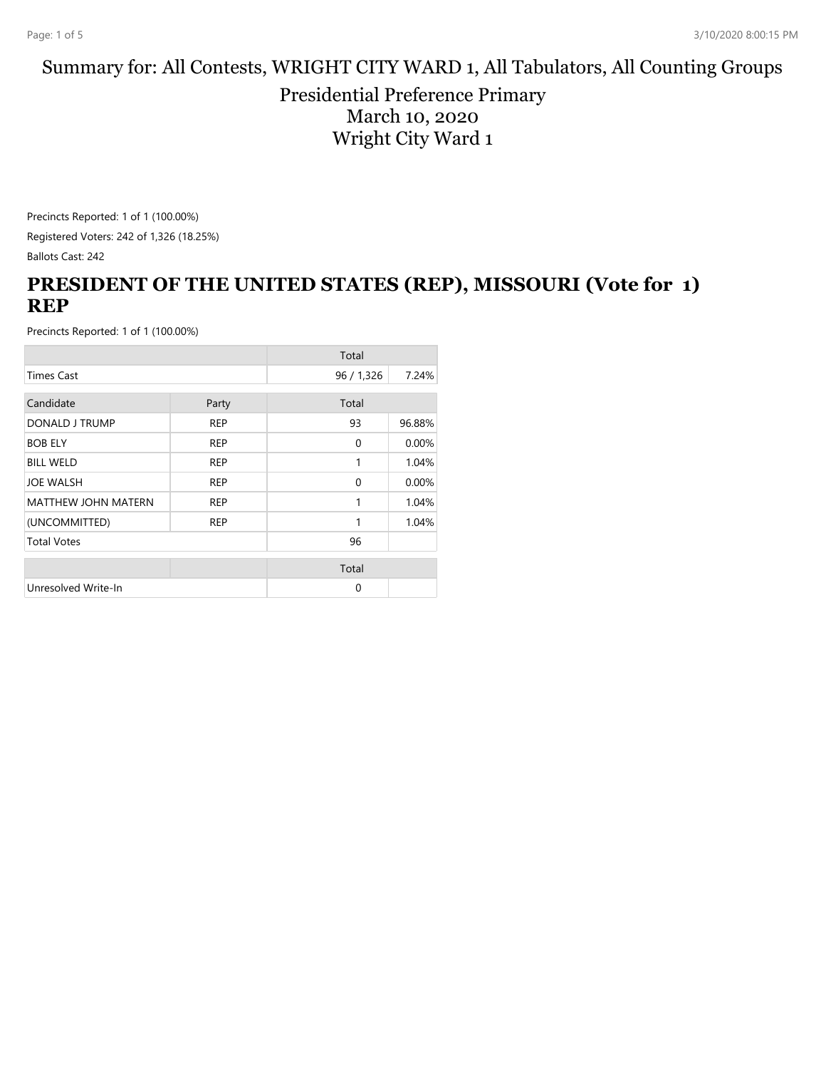#### Summary for: All Contests, WRIGHT CITY WARD 1, All Tabulators, All Counting Groups

Presidential Preference Primary March 10, 2020 Wright City Ward 1

Precincts Reported: 1 of 1 (100.00%) Registered Voters: 242 of 1,326 (18.25%) Ballots Cast: 242

### **PRESIDENT OF THE UNITED STATES (REP), MISSOURI (Vote for 1) REP**

|                            |            | Total      |        |
|----------------------------|------------|------------|--------|
| <b>Times Cast</b>          |            | 96 / 1,326 | 7.24%  |
| Candidate                  |            | Total      |        |
|                            | Party      |            |        |
| DONALD J TRUMP             | <b>REP</b> | 93         | 96.88% |
| <b>BOB ELY</b>             | <b>REP</b> | $\Omega$   | 0.00%  |
| <b>BILL WELD</b>           | <b>REP</b> | 1          | 1.04%  |
| <b>JOE WALSH</b>           | <b>REP</b> | $\Omega$   | 0.00%  |
| <b>MATTHEW JOHN MATERN</b> | <b>REP</b> | 1          | 1.04%  |
| (UNCOMMITTED)              | <b>REP</b> | 1          | 1.04%  |
| <b>Total Votes</b>         |            | 96         |        |
|                            |            | Total      |        |
|                            |            |            |        |
| Unresolved Write-In        |            | $\Omega$   |        |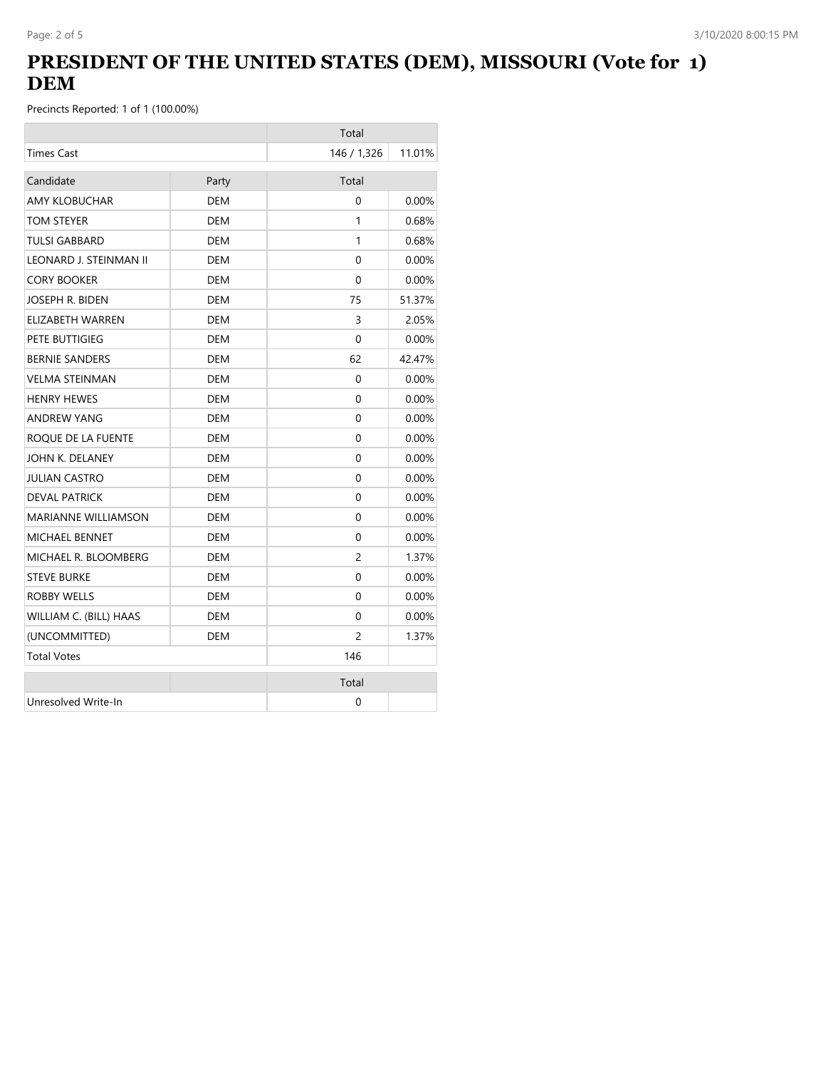## **PRESIDENT OF THE UNITED STATES (DEM), MISSOURI (Vote for 1) DEM**

|                        |            | Total       |          |
|------------------------|------------|-------------|----------|
| <b>Times Cast</b>      |            | 146 / 1,326 | 11.01%   |
| Candidate              | Party      | Total       |          |
| <b>AMY KLOBUCHAR</b>   | <b>DEM</b> | $\Omega$    | 0.00%    |
| TOM STEYER             | <b>DEM</b> | 1           | 0.68%    |
| <b>TULSI GABBARD</b>   | <b>DEM</b> | 1           | 0.68%    |
| LEONARD J. STEINMAN II | <b>DEM</b> | 0           | 0.00%    |
| <b>CORY BOOKER</b>     | <b>DEM</b> | $\Omega$    | 0.00%    |
| JOSEPH R. BIDEN        | <b>DEM</b> | 75          | 51.37%   |
| ELIZABETH WARREN       | DEM        | 3           | 2.05%    |
| PETE BUTTIGIEG         | DEM        | 0           | $0.00\%$ |
| <b>BERNIE SANDERS</b>  | DEM        | 62          | 42.47%   |
| <b>VELMA STEINMAN</b>  | <b>DEM</b> | 0           | 0.00%    |
| <b>HENRY HEWES</b>     | DEM        | $\Omega$    | $0.00\%$ |
| <b>ANDREW YANG</b>     | <b>DEM</b> | 0           | 0.00%    |
| ROQUE DE LA FUENTE     | DEM        | 0           | $0.00\%$ |
| JOHN K. DELANEY        | <b>DEM</b> | 0           | 0.00%    |
| JULIAN CASTRO          | DEM        | 0           | $0.00\%$ |
| <b>DEVAL PATRICK</b>   | <b>DEM</b> | 0           | 0.00%    |
| MARIANNE WILLIAMSON    | DEM        | 0           | $0.00\%$ |
| <b>MICHAEL BENNET</b>  | <b>DEM</b> | $\Omega$    | 0.00%    |
| MICHAEL R. BLOOMBERG   | DEM        | 2           | 1.37%    |
| <b>STEVE BURKE</b>     | DEM        | $\Omega$    | $0.00\%$ |
| ROBBY WELLS            | DEM        | 0           | 0.00%    |
| WILLIAM C. (BILL) HAAS | DEM        | $\Omega$    | $0.00\%$ |
| (UNCOMMITTED)          | DEM        | 2           | 1.37%    |
| <b>Total Votes</b>     |            | 146         |          |
|                        |            | Total       |          |
| Unresolved Write-In    |            | 0           |          |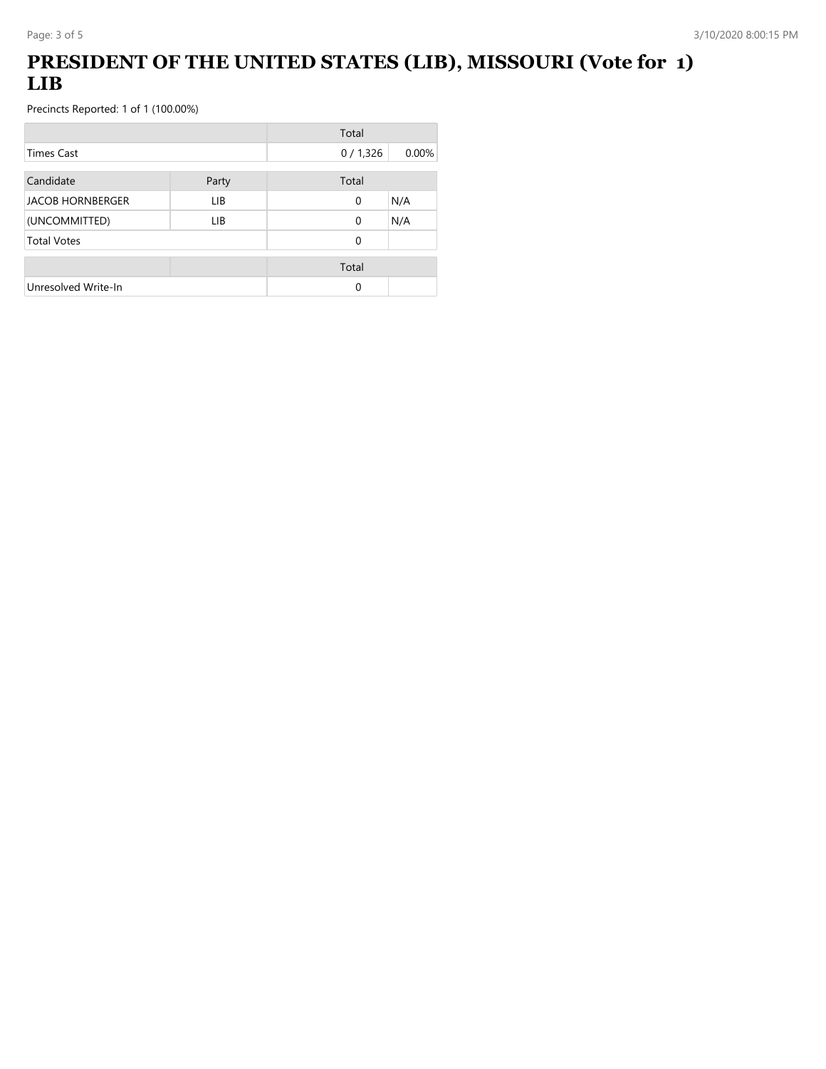# **PRESIDENT OF THE UNITED STATES (LIB), MISSOURI (Vote for 1) LIB**

|                         |       | Total   |          |
|-------------------------|-------|---------|----------|
| <b>Times Cast</b>       |       | 0/1,326 | $0.00\%$ |
| Candidate               | Party | Total   |          |
| <b>JACOB HORNBERGER</b> | LIB.  | 0       | N/A      |
| (UNCOMMITTED)           | LIB.  | 0       | N/A      |
| <b>Total Votes</b>      |       | 0       |          |
|                         |       | Total   |          |
| Unresolved Write-In     |       | 0       |          |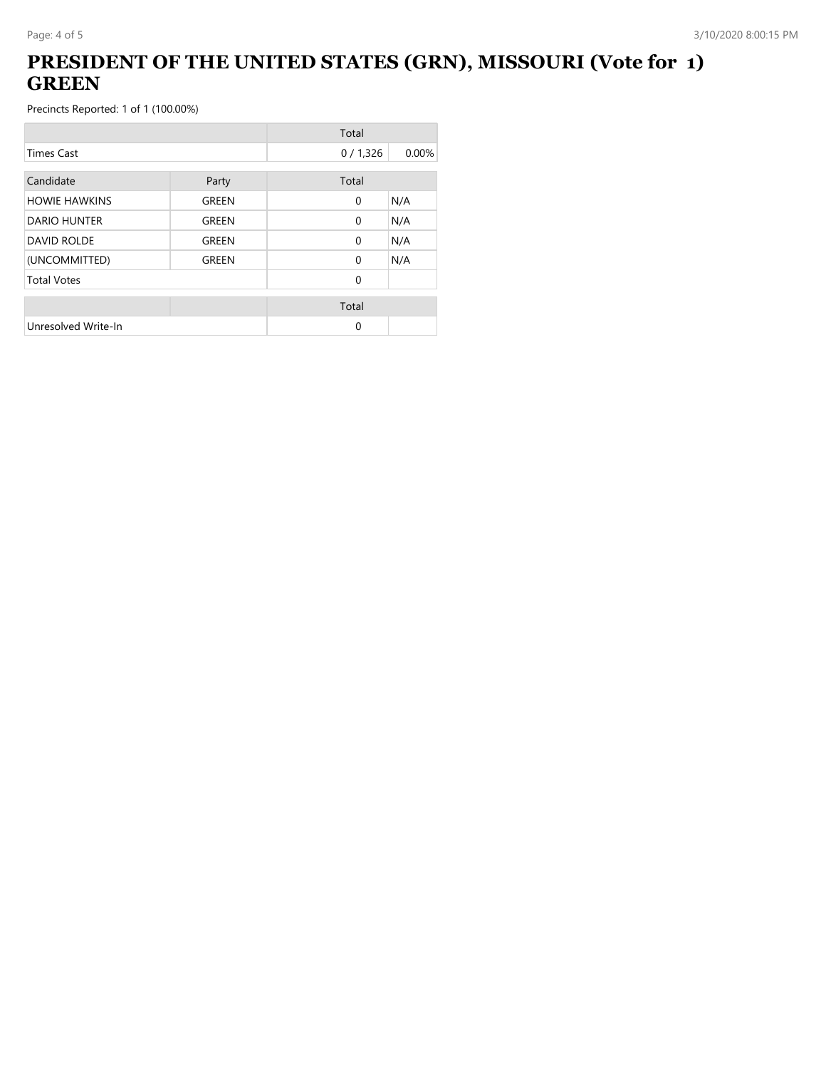## **PRESIDENT OF THE UNITED STATES (GRN), MISSOURI (Vote for 1) GREEN**

|                      |       | Total        |       |
|----------------------|-------|--------------|-------|
| <b>Times Cast</b>    |       | 0/1,326      | 0.00% |
| Candidate            | Party | Total        |       |
| <b>HOWIE HAWKINS</b> | GREEN | $\mathbf{0}$ | N/A   |
| DARIO HUNTER         | GREEN | $\Omega$     | N/A   |
| <b>DAVID ROLDE</b>   | GREEN | $\mathbf{0}$ | N/A   |
| (UNCOMMITTED)        | GREEN | $\Omega$     | N/A   |
| <b>Total Votes</b>   |       | $\Omega$     |       |
|                      |       | Total        |       |
| Unresolved Write-In  |       | 0            |       |